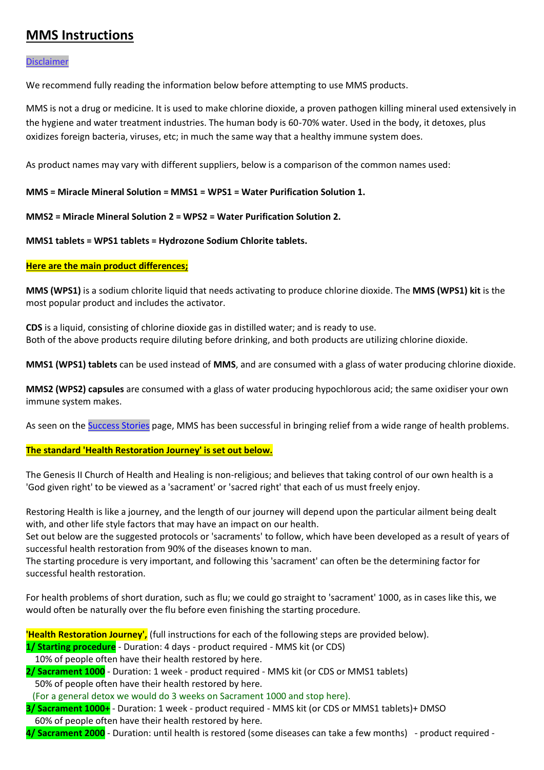# **MMS Instructions**

#### [Disclaimer](http://miraclemineral.co.nz/index.cfm?fact=disclaimer)

We recommend fully reading the information below before attempting to use MMS products.

MMS is not a drug or medicine. It is used to make chlorine dioxide, a proven pathogen killing mineral used extensively in the hygiene and water treatment industries. The human body is 60-70% water. Used in the body, it detoxes, plus oxidizes foreign bacteria, viruses, etc; in much the same way that a healthy immune system does.

As product names may vary with different suppliers, below is a comparison of the common names used:

#### **MMS = Miracle Mineral Solution = MMS1 = WPS1 = Water Purification Solution 1.**

#### **MMS2 = Miracle Mineral Solution 2 = WPS2 = Water Purification Solution 2.**

#### **MMS1 tablets = WPS1 tablets = Hydrozone Sodium Chlorite tablets.**

#### **Here are the main product differences;**

**MMS (WPS1)** is a sodium chlorite liquid that needs activating to produce chlorine dioxide. The **MMS (WPS1) kit** is the most popular product and includes the activator.

**CDS** is a liquid, consisting of chlorine dioxide gas in distilled water; and is ready to use. Both of the above products require diluting before drinking, and both products are utilizing chlorine dioxide.

**MMS1 (WPS1) tablets** can be used instead of **MMS**, and are consumed with a glass of water producing chlorine dioxide.

**MMS2 (WPS2) capsules** are consumed with a glass of water producing hypochlorous acid; the same oxidiser your own immune system makes.

As seen on the [Success Stories](http://miraclemineral.co.nz/index.cfm?fact=stories) page, MMS has been successful in bringing relief from a wide range of health problems.

## **The standard 'Health Restoration Journey' is set out below.**

The Genesis II Church of Health and Healing is non-religious; and believes that taking control of our own health is a 'God given right' to be viewed as a 'sacrament' or 'sacred right' that each of us must freely enjoy.

Restoring Health is like a journey, and the length of our journey will depend upon the particular ailment being dealt with, and other life style factors that may have an impact on our health.

Set out below are the suggested protocols or 'sacraments' to follow, which have been developed as a result of years of successful health restoration from 90% of the diseases known to man.

The starting procedure is very important, and following this 'sacrament' can often be the determining factor for successful health restoration.

For health problems of short duration, such as flu; we could go straight to 'sacrament' 1000, as in cases like this, we would often be naturally over the flu before even finishing the starting procedure.

**'Health Restoration Journey',** (full instructions for each of the following steps are provided below).

**1/ Starting procedure** - Duration: 4 days - product required - MMS kit (or CDS)

10% of people often have their health restored by here.

**2/ Sacrament 1000** - Duration: 1 week - product required - MMS kit (or CDS or MMS1 tablets)

50% of people often have their health restored by here.

(For a general detox we would do 3 weeks on Sacrament 1000 and stop here).

- **3/ Sacrament 1000+** Duration: 1 week product required MMS kit (or CDS or MMS1 tablets)+ DMSO 60% of people often have their health restored by here.
- **4/ Sacrament 2000** Duration: until health is restored (some diseases can take a few months) product required -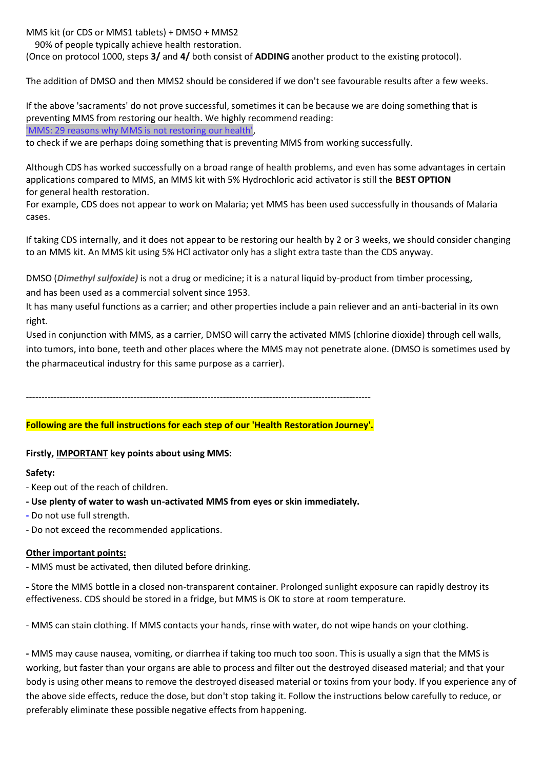MMS kit (or CDS or MMS1 tablets) + DMSO + MMS2

90% of people typically achieve health restoration.

(Once on protocol 1000, steps **3/** and **4/** both consist of **ADDING** another product to the existing protocol).

The addition of DMSO and then MMS2 should be considered if we don't see favourable results after a few weeks.

If the above 'sacraments' do not prove successful, sometimes it can be because we are doing something that is preventing MMS from restoring our health. We highly recommend reading: 'MMS: [29 reasons why MMS is not restoring our health',](#page-10-0) 

to check if we are perhaps doing something that is preventing MMS from working successfully.

Although CDS has worked successfully on a broad range of health problems, and even has some advantages in certain applications compared to MMS, an MMS kit with 5% Hydrochloric acid activator is still the **BEST OPTION** for general health restoration.

For example, CDS does not appear to work on Malaria; yet MMS has been used successfully in thousands of Malaria cases.

If taking CDS internally, and it does not appear to be restoring our health by 2 or 3 weeks, we should consider changing to an MMS kit. An MMS kit using 5% HCl activator only has a slight extra taste than the CDS anyway.

DMSO (*Dimethyl sulfoxide)* is not a drug or medicine; it is a natural liquid by-product from timber processing, and has been used as a commercial solvent since 1953.

It has many useful functions as a carrier; and other properties include a pain reliever and an anti-bacterial in its own right.

Used in conjunction with MMS, as a carrier, DMSO will carry the activated MMS (chlorine dioxide) through cell walls, into tumors, into bone, teeth and other places where the MMS may not penetrate alone. (DMSO is sometimes used by the pharmaceutical industry for this same purpose as a carrier).

----------------------------------------------------------------------------------------------------------------

## **Following are the full instructions for each step of our 'Health Restoration Journey'.**

## **Firstly, IMPORTANT key points about using MMS:**

## **Safety:**

- Keep out of the reach of children.
- **- Use plenty of water to wash un-activated MMS from eyes or skin immediately.**
- **-** Do not use full strength.
- Do not exceed the recommended applications.

#### **Other important points:**

- MMS must be activated, then diluted before drinking.

**-** Store the MMS bottle in a closed non-transparent container. Prolonged sunlight exposure can rapidly destroy its effectiveness. CDS should be stored in a fridge, but MMS is OK to store at room temperature.

- MMS can stain clothing. If MMS contacts your hands, rinse with water, do not wipe hands on your clothing.

**-** MMS may cause nausea, vomiting, or diarrhea if taking too much too soon. This is usually a sign that the MMS is working, but faster than your organs are able to process and filter out the destroyed diseased material; and that your body is using other means to remove the destroyed diseased material or toxins from your body. If you experience any of the above side effects, reduce the dose, but don't stop taking it. Follow the instructions below carefully to reduce, or preferably eliminate these possible negative effects from happening.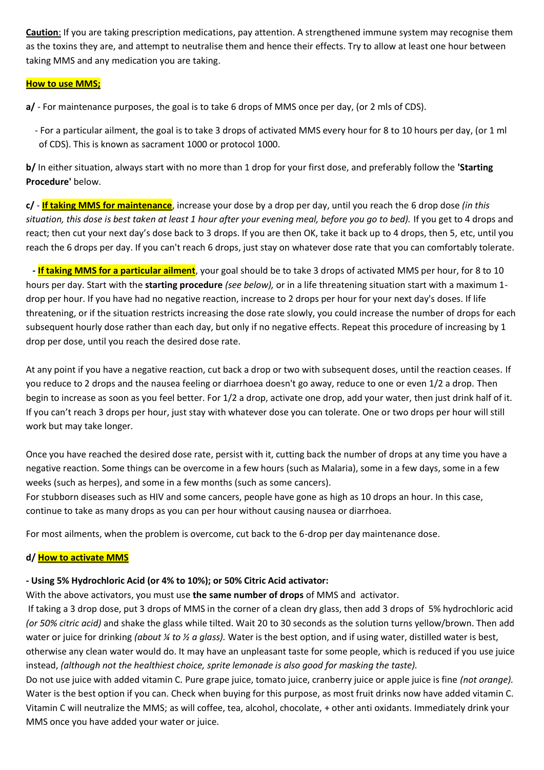<span id="page-2-0"></span>**Caution**: If you are taking prescription medications, pay attention. A strengthened immune system may recognise them as the toxins they are, and attempt to neutralise them and hence their effects. Try to allow at least one hour between taking MMS and any medication you are taking.

#### **How to use MMS;**

**a/** - For maintenance purposes, the goal is to take 6 drops of MMS once per day, (or 2 mls of CDS).

 - For a particular ailment, the goal is to take 3 drops of activated MMS every hour for 8 to 10 hours per day, (or 1 ml of CDS). This is known as sacrament 1000 or protocol 1000.

**b/** In either situation, always start with no more than 1 drop for your first dose, and preferably follow the **'Starting Procedure'** below.

**c/** - **If taking MMS for maintenance**, increase your dose by a drop per day, until you reach the 6 drop dose *(in this situation, this dose is best taken at least 1 hour after your evening meal, before you go to bed).* If you get to 4 drops and react; then cut your next day's dose back to 3 drops. If you are then OK, take it back up to 4 drops, then 5, etc, until you reach the 6 drops per day. If you can't reach 6 drops, just stay on whatever dose rate that you can comfortably tolerate.

 **- If taking MMS for a particular ailment**, your goal should be to take 3 drops of activated MMS per hour, for 8 to 10 hours per day. Start with the **starting procedure** *(see below),* or in a life threatening situation start with a maximum 1 drop per hour. If you have had no negative reaction, increase to 2 drops per hour for your next day's doses. If life threatening, or if the situation restricts increasing the dose rate slowly, you could increase the number of drops for each subsequent hourly dose rather than each day, but only if no negative effects. Repeat this procedure of increasing by 1 drop per dose, until you reach the desired dose rate.

At any point if you have a negative reaction, cut back a drop or two with subsequent doses, until the reaction ceases. If you reduce to 2 drops and the nausea feeling or diarrhoea doesn't go away, reduce to one or even 1/2 a drop. Then begin to increase as soon as you feel better. For 1/2 a drop, activate one drop, add your water, then just drink half of it. If you can't reach 3 drops per hour, just stay with whatever dose you can tolerate. One or two drops per hour will still work but may take longer.

Once you have reached the desired dose rate, persist with it, cutting back the number of drops at any time you have a negative reaction. Some things can be overcome in a few hours (such as Malaria), some in a few days, some in a few weeks (such as herpes), and some in a few months (such as some cancers).

For stubborn diseases such as HIV and some cancers, people have gone as high as 10 drops an hour. In this case, continue to take as many drops as you can per hour without causing nausea or diarrhoea.

For most ailments, when the problem is overcome, cut back to the 6-drop per day maintenance dose.

## **d/ How to activate MMS**

## **- Using 5% Hydrochloric Acid (or 4% to 10%); or 50% Citric Acid activator:**

With the above activators, you must use **the same number of drops** of MMS and activator.

If taking a 3 drop dose, put 3 drops of MMS in the corner of a clean dry glass, then add 3 drops of 5% hydrochloric acid *(or 50% citric acid)* and shake the glass while tilted. Wait 20 to 30 seconds as the solution turns yellow/brown. Then add water or juice for drinking *(about ¼ to ½ a glass).* Water is the best option, and if using water, distilled water is best, otherwise any clean water would do. It may have an unpleasant taste for some people, which is reduced if you use juice

instead, *(although not the healthiest choice, sprite lemonade is also good for masking the taste).*

Do not use juice with added vitamin C. Pure grape juice, tomato juice, cranberry juice or apple juice is fine *(not orange).* Water is the best option if you can. Check when buying for this purpose, as most fruit drinks now have added vitamin C. Vitamin C will neutralize the MMS; as will coffee, tea, alcohol, chocolate, + other anti oxidants. Immediately drink your MMS once you have added your water or juice.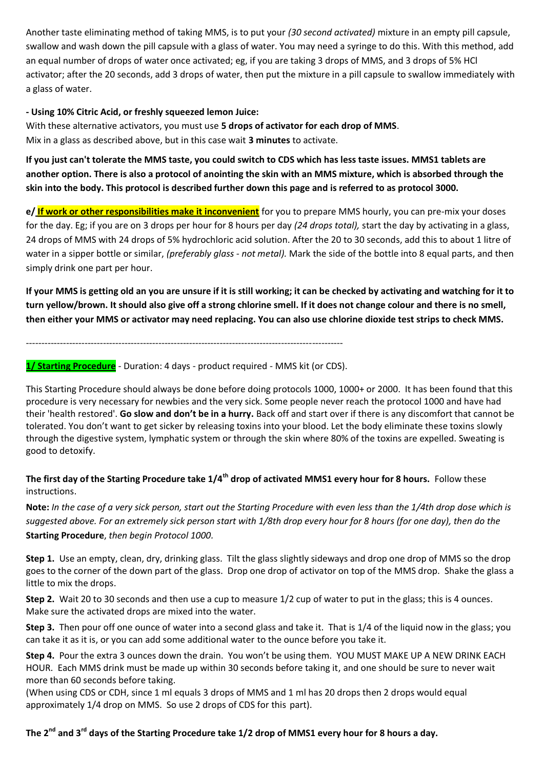Another taste eliminating method of taking MMS, is to put your *(30 second activated)* mixture in an empty pill capsule, swallow and wash down the pill capsule with a glass of water. You may need a syringe to do this. With this method, add an equal number of drops of water once activated; eg, if you are taking 3 drops of MMS, and 3 drops of 5% HCl activator; after the 20 seconds, add 3 drops of water, then put the mixture in a pill capsule to swallow immediately with a glass of water.

## **- Using 10% Citric Acid, or freshly squeezed lemon Juice:**

With these alternative activators, you must use **5 drops of activator for each drop of MMS**. Mix in a glass as described above, but in this case wait **3 minutes** to activate.

**If you just can't tolerate the MMS taste, you could switch to CDS which has less taste issues. MMS1 tablets are another option. There is also a protocol of anointing the skin with an MMS mixture, which is absorbed through the skin into the body. This protocol is described further down this page and is referred to as protocol 3000.**

**e/ If work or other responsibilities make it inconvenient** for you to prepare MMS hourly, you can pre-mix your doses for the day. Eg; if you are on 3 drops per hour for 8 hours per day *(24 drops total),* start the day by activating in a glass, 24 drops of MMS with 24 drops of 5% hydrochloric acid solution. After the 20 to 30 seconds, add this to about 1 litre of water in a sipper bottle or similar, *(preferably glass - not metal).* Mark the side of the bottle into 8 equal parts, and then simply drink one part per hour.

**If your MMS is getting old an you are unsure if it is still working; it can be checked by activating and watching for it to turn yellow/brown. It should also give off a strong chlorine smell. If it does not change colour and there is no smell, then either your MMS or activator may need replacing. You can also use chlorine dioxide test strips to check MMS.**

-------------------------------------------------------------------------------------------------------

**1/ Starting Procedure** - Duration: 4 days - product required - MMS kit (or CDS).

This Starting Procedure should always be done before doing protocols 1000, 1000+ or 2000. It has been found that this procedure is very necessary for newbies and the very sick. Some people never reach the protocol 1000 and have had their 'health restored'. **Go slow and don't be in a hurry.** Back off and start over if there is any discomfort that cannot be tolerated. You don't want to get sicker by releasing toxins into your blood. Let the body eliminate these toxins slowly through the digestive system, lymphatic system or through the skin where 80% of the toxins are expelled. Sweating is good to detoxify.

**The first day of the Starting Procedure take 1/4th drop of activated MMS1 every hour for 8 hours.** Follow these instructions.

**Note:** *In the case of a very sick person, start out the Starting Procedure with even less than the 1/4th drop dose which is suggested above. For an extremely sick person start with 1/8th drop every hour for 8 hours (for one day), then do the*  **Starting Procedure**, *then begin Protocol 1000.* 

**Step 1.** Use an empty, clean, dry, drinking glass. Tilt the glass slightly sideways and drop one drop of MMS so the drop goes to the corner of the down part of the glass. Drop one drop of activator on top of the MMS drop. Shake the glass a little to mix the drops.

**Step 2.** Wait 20 to 30 seconds and then use a cup to measure 1/2 cup of water to put in the glass; this is 4 ounces. Make sure the activated drops are mixed into the water.

**Step 3.** Then pour off one ounce of water into a second glass and take it. That is 1/4 of the liquid now in the glass; you can take it as it is, or you can add some additional water to the ounce before you take it.

**Step 4.** Pour the extra 3 ounces down the drain. You won't be using them. YOU MUST MAKE UP A NEW DRINK EACH HOUR. Each MMS drink must be made up within 30 seconds before taking it, and one should be sure to never wait more than 60 seconds before taking.

(When using CDS or CDH, since 1 ml equals 3 drops of MMS and 1 ml has 20 drops then 2 drops would equal approximately 1/4 drop on MMS. So use 2 drops of CDS for this-part).

**The 2nd and 3rd days of the Starting Procedure take 1/2 drop of MMS1 every hour for 8 hours a day.**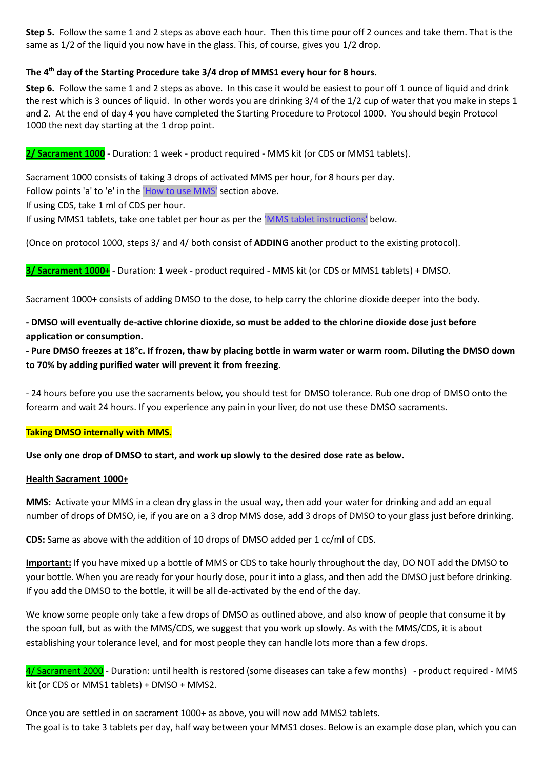**Step 5.** Follow the same 1 and 2 steps as above each hour. Then this time pour off 2 ounces and take them. That is the same as 1/2 of the liquid you now have in the glass. This, of course, gives you 1/2 drop.

## **The 4th day of the Starting Procedure take 3/4 drop of MMS1 every hour for 8 hours.**

**Step 6.** Follow the same 1 and 2 steps as above. In this case it would be easiest to pour off 1 ounce of liquid and drink the rest which is 3 ounces of liquid. In other words you are drinking 3/4 of the 1/2 cup of water that you make in steps 1 and 2. At the end of day 4 you have completed the Starting Procedure to Protocol 1000. You should begin Protocol 1000 the next day starting at the 1 drop point.

**2/ Sacrament 1000** - Duration: 1 week - product required - MMS kit (or CDS or MMS1 tablets).

Sacrament 1000 consists of taking 3 drops of activated MMS per hour, for 8 hours per day.

Follow points 'a' to 'e' in the '[How to use MMS'](#page-2-0) section above.

If using CDS, take 1 ml of CDS per hour.

If using MMS1 tablets, take one tablet per hour as per the **'MMS** tablet instructions' below.

(Once on protocol 1000, steps 3/ and 4/ both consist of **ADDING** another product to the existing protocol).

**3/ Sacrament 1000+** - Duration: 1 week - product required - MMS kit (or CDS or MMS1 tablets) + DMSO.

Sacrament 1000+ consists of adding DMSO to the dose, to help carry the chlorine dioxide deeper into the body.

**- DMSO will eventually de-active chlorine dioxide, so must be added to the chlorine dioxide dose just before application or consumption.** 

**- Pure DMSO freezes at 18°c. If frozen, thaw by placing bottle in warm water or warm room. Diluting the DMSO down to 70% by adding purified water will prevent it from freezing.**

- 24 hours before you use the sacraments below, you should test for DMSO tolerance. Rub one drop of DMSO onto the forearm and wait 24 hours. If you experience any pain in your liver, do not use these DMSO sacraments.

## **Taking DMSO internally with MMS.**

**Use only one drop of DMSO to start, and work up slowly to the desired dose rate as below.**

## **Health Sacrament 1000+**

**MMS:** Activate your MMS in a clean dry glass in the usual way, then add your water for drinking and add an equal number of drops of DMSO, ie, if you are on a 3 drop MMS dose, add 3 drops of DMSO to your glass just before drinking.

**CDS:** Same as above with the addition of 10 drops of DMSO added per 1 cc/ml of CDS.

**Important:** If you have mixed up a bottle of MMS or CDS to take hourly throughout the day, DO NOT add the DMSO to your bottle. When you are ready for your hourly dose, pour it into a glass, and then add the DMSO just before drinking. If you add the DMSO to the bottle, it will be all de-activated by the end of the day.

We know some people only take a few drops of DMSO as outlined above, and also know of people that consume it by the spoon full, but as with the MMS/CDS, we suggest that you work up slowly. As with the MMS/CDS, it is about establishing your tolerance level, and for most people they can handle lots more than a few drops.

4/ Sacrament 2000 - Duration: until health is restored (some diseases can take a few months) - product required - MMS kit (or CDS or MMS1 tablets) + DMSO + MMS2.

Once you are settled in on sacrament 1000+ as above, you will now add MMS2 tablets. The goal is to take 3 tablets per day, half way between your MMS1 doses. Below is an example dose plan, which you can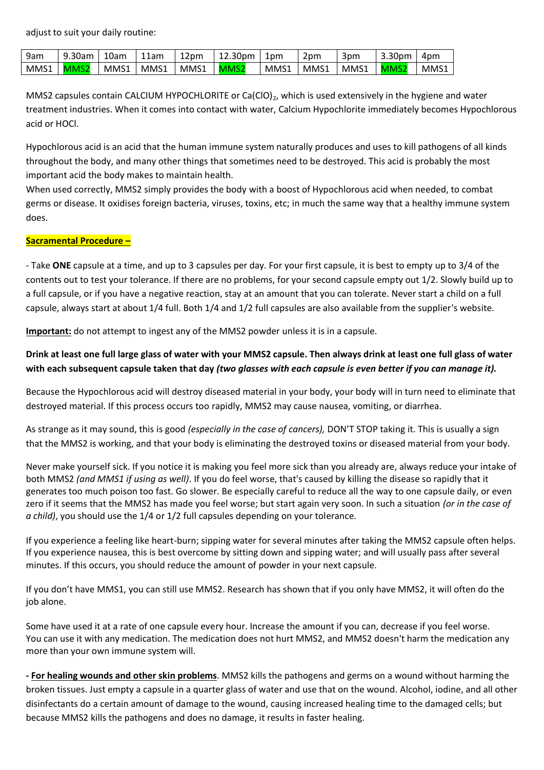adjust to suit your daily routine:

| 9am  | 9.30am<br>Q     | 10am | 11am | $\sim$<br>12pm | 12.30pm | 1pm  | 2pm  | 3pm  | 3.30 <sub>pm</sub><br>$\sim$ | 4pm  |
|------|-----------------|------|------|----------------|---------|------|------|------|------------------------------|------|
| MMS1 | <b>'MS</b><br>м | MMS1 | MMS1 | MMS1           |         | MMS1 | MMS1 | MMS1 |                              | MMS1 |

MMS2 capsules contain CALCIUM HYPOCHLORITE or Ca(CIO)<sub>2</sub>, which is used extensively in the hygiene and water treatment industries. When it comes into contact with water, Calcium Hypochlorite immediately becomes Hypochlorous acid or HOCl.

Hypochlorous acid is an acid that the human immune system naturally produces and uses to kill pathogens of all kinds throughout the body, and many other things that sometimes need to be destroyed. This acid is probably the most important acid the body makes to maintain health.

When used correctly, MMS2 simply provides the body with a boost of Hypochlorous acid when needed, to combat germs or disease. It oxidises foreign bacteria, viruses, toxins, etc; in much the same way that a healthy immune system does.

#### **Sacramental Procedure –**

- Take **ONE** capsule at a time, and up to 3 capsules per day. For your first capsule, it is best to empty up to 3/4 of the contents out to test your tolerance. If there are no problems, for your second capsule empty out 1/2. Slowly build up to a full capsule, or if you have a negative reaction, stay at an amount that you can tolerate. Never start a child on a full capsule, always start at about 1/4 full. Both 1/4 and 1/2 full capsules are also available from the supplier's website.

**Important:** do not attempt to ingest any of the MMS2 powder unless it is in a capsule.

**Drink at least one full large glass of water with your MMS2 capsule. Then always drink at least one full glass of water with each subsequent capsule taken that day** *(two glasses with each capsule is even better if you can manage it).*

Because the Hypochlorous acid will destroy diseased material in your body, your body will in turn need to eliminate that destroyed material. If this process occurs too rapidly, MMS2 may cause nausea, vomiting, or diarrhea.

As strange as it may sound, this is good *(especially in the case of cancers),* DON'T STOP taking it. This is usually a sign that the MMS2 is working, and that your body is eliminating the destroyed toxins or diseased material from your body.

Never make yourself sick. If you notice it is making you feel more sick than you already are, always reduce your intake of both MMS2 *(and MMS1 if using as well)*. If you do feel worse, that's caused by killing the disease so rapidly that it generates too much poison too fast. Go slower. Be especially careful to reduce all the way to one capsule daily, or even zero if it seems that the MMS2 has made you feel worse; but start again very soon. In such a situation *(or in the case of a child)*, you should use the 1/4 or 1/2 full capsules depending on your tolerance*.*

If you experience a feeling like heart-burn; sipping water for several minutes after taking the MMS2 capsule often helps. If you experience nausea, this is best overcome by sitting down and sipping water; and will usually pass after several minutes. If this occurs, you should reduce the amount of powder in your next capsule.

If you don't have MMS1, you can still use MMS2. Research has shown that if you only have MMS2, it will often do the job alone.

Some have used it at a rate of one capsule every hour. Increase the amount if you can, decrease if you feel worse. You can use it with any medication. The medication does not hurt MMS2, and MMS2 doesn't harm the medication any more than your own immune system will.

**- For healing wounds and other skin problems**. MMS2 kills the pathogens and germs on a wound without harming the broken tissues. Just empty a capsule in a quarter glass of water and use that on the wound. Alcohol, iodine, and all other disinfectants do a certain amount of damage to the wound, causing increased healing time to the damaged cells; but because MMS2 kills the pathogens and does no damage, it results in faster healing.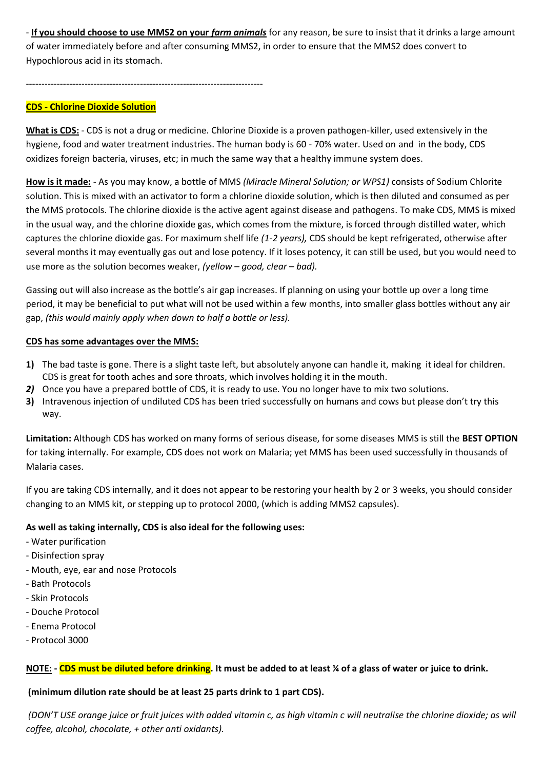- **If you should choose to use MMS2 on your** *farm animals* for any reason, be sure to insist that it drinks a large amount of water immediately before and after consuming MMS2, in order to ensure that the MMS2 does convert to Hypochlorous acid in its stomach.

-----------------------------------------------------------------------------

#### **CDS - Chlorine Dioxide Solution**

**What is CDS:** - CDS is not a drug or medicine. Chlorine Dioxide is a proven pathogen-killer, used extensively in the hygiene, food and water treatment industries. The human body is 60 - 70% water. Used on and in the body, CDS oxidizes foreign bacteria, viruses, etc; in much the same way that a healthy immune system does.

**How is it made:** - As you may know, a bottle of MMS *(Miracle Mineral Solution; or WPS1)* consists of Sodium Chlorite solution. This is mixed with an activator to form a chlorine dioxide solution, which is then diluted and consumed as per the MMS protocols. The chlorine dioxide is the active agent against disease and pathogens. To make CDS, MMS is mixed in the usual way, and the chlorine dioxide gas, which comes from the mixture, is forced through distilled water, which captures the chlorine dioxide gas. For maximum shelf life *(1-2 years),* CDS should be kept refrigerated, otherwise after several months it may eventually gas out and lose potency. If it loses potency, it can still be used, but you would need to use more as the solution becomes weaker, (yellow - good, clear - bad).

Gassing out will also increase as the bottle's air gap increases. If planning on using your bottle up over a long time period, it may be beneficial to put what will not be used within a few months, into smaller glass bottles without any air gap, *(this would mainly apply when down to half a bottle or less).* 

#### **CDS has some advantages over the MMS:**

- **1)** The bad taste is gone. There is a slight taste left, but absolutely anyone can handle it, making it ideal for children. CDS is great for tooth aches and sore throats, which involves holding it in the mouth.
- 2) Once you have a prepared bottle of CDS, it is ready to use. You no longer have to mix two solutions.
- **3)** Intravenous injection of undiluted CDS has been tried successfully on humans and cows but please don't try this way.

**Limitation:** Although CDS has worked on many forms of serious disease, for some diseases MMS is still the **BEST OPTION** for taking internally. For example, CDS does not work on Malaria; yet MMS has been used successfully in thousands of Malaria cases.

If you are taking CDS internally, and it does not appear to be restoring your health by 2 or 3 weeks, you should consider changing to an MMS kit, or stepping up to protocol 2000, (which is adding MMS2 capsules).

## **As well as taking internally, CDS is also ideal for the following uses:**

- Water purification
- Disinfection spray
- Mouth, eye, ear and nose Protocols
- Bath Protocols
- Skin Protocols
- Douche Protocol
- Enema Protocol
- Protocol 3000

## **NOTE: - CDS must be diluted before drinking. It must be added to at least ¼ of a glass of water or juice to drink.**

## **(minimum dilution rate should be at least 25 parts drink to 1 part CDS).**

*(DON'T USE orange juice or fruit juices with added vitamin c, as high vitamin c will neutralise the chlorine dioxide; as will coffee, alcohol, chocolate, + other anti oxidants).*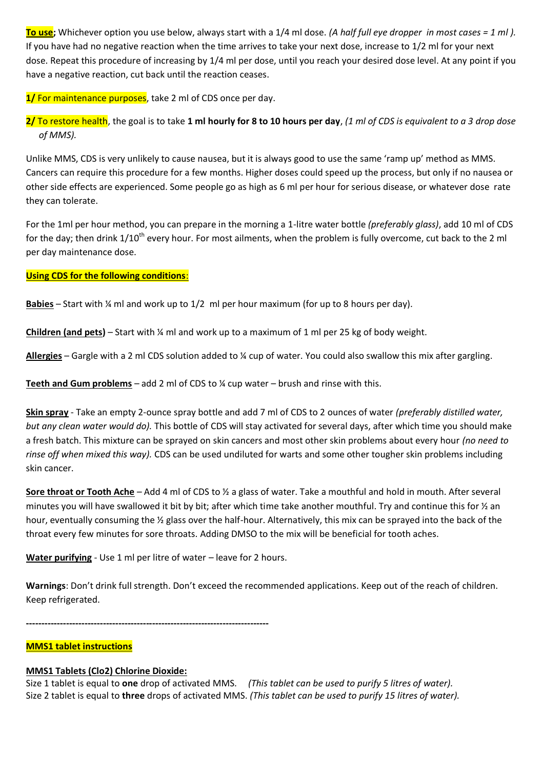<span id="page-7-0"></span>**To use;** Whichever option you use below, always start with a 1/4 ml dose. *(A half full eye dropper in most cases = 1 ml ).* If you have had no negative reaction when the time arrives to take your next dose, increase to 1/2 ml for your next dose. Repeat this procedure of increasing by 1/4 ml per dose, until you reach your desired dose level. At any point if you have a negative reaction, cut back until the reaction ceases.

1/ For maintenance purposes, take 2 ml of CDS once per day.

**2/** To restore health, the goal is to take **1 ml hourly for 8 to 10 hours per day**, *(1 ml of CDS is equivalent to a 3 drop dose of MMS).*

Unlike MMS, CDS is very unlikely to cause nausea, but it is always good to use the same 'ramp up' method as MMS. Cancers can require this procedure for a few months. Higher doses could speed up the process, but only if no nausea or other side effects are experienced. Some people go as high as 6 ml per hour for serious disease, or whatever dose rate they can tolerate.

For the 1ml per hour method, you can prepare in the morning a 1-litre water bottle *(preferably glass)*, add 10 ml of CDS for the day; then drink 1/10<sup>th</sup> every hour. For most ailments, when the problem is fully overcome, cut back to the 2 ml per day maintenance dose.

## **Using CDS for the following conditions**:

**Babies** – Start with ¼ ml and work up to 1/2 ml per hour maximum (for up to 8 hours per day).

**Children (and pets)** – Start with ¼ ml and work up to a maximum of 1 ml per 25 kg of body weight.

**Allergies** – Gargle with a 2 ml CDS solution added to ¼ cup of water. You could also swallow this mix after gargling.

**Teeth and Gum problems** – add 2 ml of CDS to ¼ cup water – brush and rinse with this.

**Skin spray** - Take an empty 2-ounce spray bottle and add 7 ml of CDS to 2 ounces of water *(preferably distilled water, but any clean water would do).* This bottle of CDS will stay activated for several days, after which time you should make a fresh batch. This mixture can be sprayed on skin cancers and most other skin problems about every hour *(no need to rinse off when mixed this way).* CDS can be used undiluted for warts and some other tougher skin problems including skin cancer.

**Sore throat or Tooth Ache** – Add 4 ml of CDS to ½ a glass of water. Take a mouthful and hold in mouth. After several minutes you will have swallowed it bit by bit; after which time take another mouthful. Try and continue this for  $\frac{1}{2}$  an hour, eventually consuming the ½ glass over the half-hour. Alternatively, this mix can be sprayed into the back of the throat every few minutes for sore throats. Adding DMSO to the mix will be beneficial for tooth aches.

**Water purifying** - Use 1 ml per litre of water – leave for 2 hours.

**Warnings**: Don't drink full strength. Don't exceed the recommended applications. Keep out of the reach of children. Keep refrigerated.

**-------------------------------------------------------------------------------**

## **MMS1 tablet instructions**

## **MMS1 Tablets (Clo2) Chlorine Dioxide:**

Size 1 tablet is equal to **one** drop of activated MMS. *(This tablet can be used to purify 5 litres of water).* Size 2 tablet is equal to **three** drops of activated MMS. *(This tablet can be used to purify 15 litres of water).*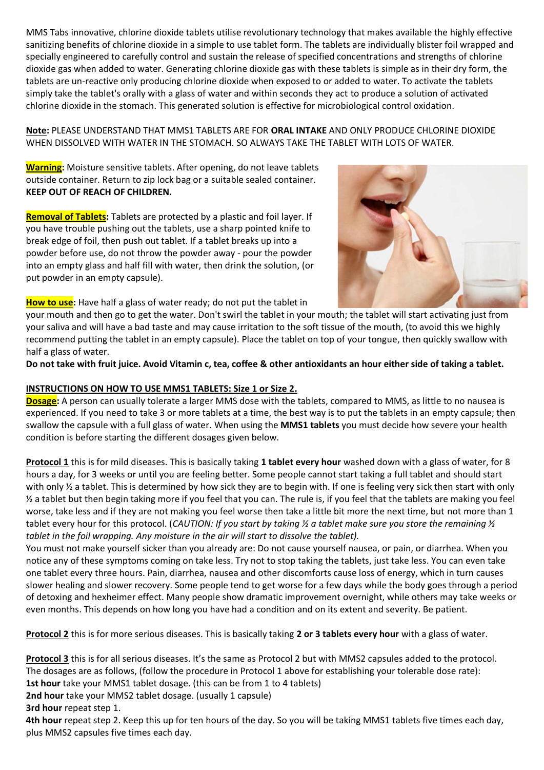MMS Tabs innovative, chlorine dioxide tablets utilise revolutionary technology that makes available the highly effective sanitizing benefits of chlorine dioxide in a simple to use tablet form. The tablets are individually blister foil wrapped and specially engineered to carefully control and sustain the release of specified concentrations and strengths of chlorine dioxide gas when added to water. Generating chlorine dioxide gas with these tablets is simple as in their dry form, the tablets are un-reactive only producing chlorine dioxide when exposed to or added to water. To activate the tablets simply take the tablet's orally with a glass of water and within seconds they act to produce a solution of activated chlorine dioxide in the stomach. This generated solution is effective for microbiological control oxidation.

**Note:** PLEASE UNDERSTAND THAT MMS1 TABLETS ARE FOR **ORAL INTAKE** AND ONLY PRODUCE CHLORINE DIOXIDE WHEN DISSOLVED WITH WATER IN THE STOMACH. SO ALWAYS TAKE THE TABLET WITH LOTS OF WATER.

**Warning:** Moisture sensitive tablets. After opening, do not leave tablets outside container. Return to zip lock bag or a suitable sealed container. **KEEP OUT OF REACH OF CHILDREN.**

**Removal of Tablets:** Tablets are protected by a plastic and foil layer. If you have trouble pushing out the tablets, use a sharp pointed knife to break edge of foil, then push out tablet. If a tablet breaks up into a powder before use, do not throw the powder away - pour the powder into an empty glass and half fill with water, then drink the solution, (or put powder in an empty capsule).



**How to use:** Have half a glass of water ready; do not put the tablet in

your mouth and then go to get the water. Don't swirl the tablet in your mouth; the tablet will start activating just from your saliva and will have a bad taste and may cause irritation to the soft tissue of the mouth, (to avoid this we highly recommend putting the tablet in an empty capsule). Place the tablet on top of your tongue, then quickly swallow with half a glass of water.

**Do not take with fruit juice. Avoid Vitamin c, tea, coffee & other antioxidants an hour either side of taking a tablet.**

## **INSTRUCTIONS ON HOW TO USE MMS1 TABLETS: Size 1 or Size 2.**

**Dosage:** A person can usually tolerate a larger MMS dose with the tablets, compared to MMS, as little to no nausea is experienced. If you need to take 3 or more tablets at a time, the best way is to put the tablets in an empty capsule; then swallow the capsule with a full glass of water. When using the **MMS1 tablets** you must decide how severe your health condition is before starting the different dosages given below.

**Protocol 1** this is for mild diseases. This is basically taking **1 tablet every hour** washed down with a glass of water, for 8 hours a day, for 3 weeks or until you are feeling better. Some people cannot start taking a full tablet and should start with only  $\frac{y}{2}$  a tablet. This is determined by how sick they are to begin with. If one is feeling very sick then start with only  $\frac{1}{2}$  a tablet but then begin taking more if you feel that you can. The rule is, if you feel that the tablets are making you feel worse, take less and if they are not making you feel worse then take a little bit more the next time, but not more than 1 tablet every hour for this protocol. (*CAUTION: If you start by taking ½ a tablet make sure you store the remaining ½ tablet in the foil wrapping. Any moisture in the air will start to dissolve the tablet).*

You must not make yourself sicker than you already are: Do not cause yourself nausea, or pain, or diarrhea. When you notice any of these symptoms coming on take less. Try not to stop taking the tablets, just take less. You can even take one tablet every three hours. Pain, diarrhea, nausea and other discomforts cause loss of energy, which in turn causes slower healing and slower recovery. Some people tend to get worse for a few days while the body goes through a period of detoxing and hexheimer effect. Many people show dramatic improvement overnight, while others may take weeks or even months. This depends on how long you have had a condition and on its extent and severity. Be patient.

**Protocol 2** this is for more serious diseases. This is basically taking **2 or 3 tablets every hour** with a glass of water.

**Protocol 3** this is for all serious diseases. It's the same as Protocol 2 but with MMS2 capsules added to the protocol. The dosages are as follows, (follow the procedure in Protocol 1 above for establishing your tolerable dose rate):

**1st hour** take your MMS1 tablet dosage. (this can be from 1 to 4 tablets)

**2nd hour** take your MMS2 tablet dosage. (usually 1 capsule)

**3rd hour** repeat step 1.

**4th hour** repeat step 2. Keep this up for ten hours of the day. So you will be taking MMS1 tablets five times each day, plus MMS2 capsules five times each day.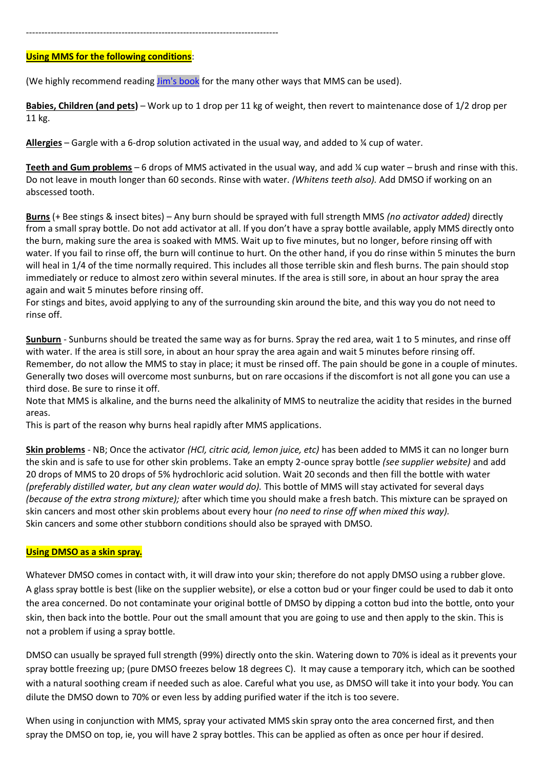#### ----------------------------------------------------------------------------------

#### **Using MMS for the following conditions**:

(We highly recommend reading [Jim's book](https://miraclemineral.co.nz/index.cfm?fact=product) for the many other ways that MMS can be used).

**Babies, Children (and pets)** – Work up to 1 drop per 11 kg of weight, then revert to maintenance dose of 1/2 drop per 11 kg.

**Allergies** – Gargle with a 6-drop solution activated in the usual way, and added to ¼ cup of water.

**Teeth and Gum problems** – 6 drops of MMS activated in the usual way, and add ¼ cup water – brush and rinse with this. Do not leave in mouth longer than 60 seconds. Rinse with water. *(Whitens teeth also).* Add DMSO if working on an abscessed tooth.

**Burns** (+ Bee stings & insect bites) – Any burn should be sprayed with full strength MMS *(no activator added)* directly from a small spray bottle. Do not add activator at all. If you don't have a spray bottle available, apply MMS directly onto the burn, making sure the area is soaked with MMS. Wait up to five minutes, but no longer, before rinsing off with water. If you fail to rinse off, the burn will continue to hurt. On the other hand, if you do rinse within 5 minutes the burn will heal in 1/4 of the time normally required. This includes all those terrible skin and flesh burns. The pain should stop immediately or reduce to almost zero within several minutes. If the area is still sore, in about an hour spray the area again and wait 5 minutes before rinsing off.

For stings and bites, avoid applying to any of the surrounding skin around the bite, and this way you do not need to rinse off.

**Sunburn** - Sunburns should be treated the same way as for burns. Spray the red area, wait 1 to 5 minutes, and rinse off with water. If the area is still sore, in about an hour spray the area again and wait 5 minutes before rinsing off. Remember, do not allow the MMS to stay in place; it must be rinsed off. The pain should be gone in a couple of minutes. Generally two doses will overcome most sunburns, but on rare occasions if the discomfort is not all gone you can use a third dose. Be sure to rinse it off.

Note that MMS is alkaline, and the burns need the alkalinity of MMS to neutralize the acidity that resides in the burned areas.

This is part of the reason why burns heal rapidly after MMS applications.

**Skin problems** - NB; Once the activator *(HCl, citric acid, lemon juice, etc)* has been added to MMS it can no longer burn the skin and is safe to use for other skin problems. Take an empty 2-ounce spray bottle *(see supplier website)* and add 20 drops of MMS to 20 drops of 5% hydrochloric acid solution. Wait 20 seconds and then fill the bottle with water *(preferably distilled water, but any clean water would do).* This bottle of MMS will stay activated for several days *(because of the extra strong mixture);* after which time you should make a fresh batch. This mixture can be sprayed on skin cancers and most other skin problems about every hour *(no need to rinse off when mixed this way).* Skin cancers and some other stubborn conditions should also be sprayed with DMSO.

#### **Using DMSO as a skin spray.**

Whatever DMSO comes in contact with, it will draw into your skin; therefore do not apply DMSO using a rubber glove. A glass spray bottle is best (like on the supplier website), or else a cotton bud or your finger could be used to dab it onto the area concerned. Do not contaminate your original bottle of DMSO by dipping a cotton bud into the bottle, onto your skin, then back into the bottle. Pour out the small amount that you are going to use and then apply to the skin. This is not a problem if using a spray bottle.

DMSO can usually be sprayed full strength (99%) directly onto the skin. Watering down to 70% is ideal as it prevents your spray bottle freezing up; (pure DMSO freezes below 18 degrees C). It may cause a temporary itch, which can be soothed with a natural soothing cream if needed such as aloe. Careful what you use, as DMSO will take it into your body. You can dilute the DMSO down to 70% or even less by adding purified water if the itch is too severe.

When using in conjunction with MMS, spray your activated MMS skin spray onto the area concerned first, and then spray the DMSO on top, ie, you will have 2 spray bottles. This can be applied as often as once per hour if desired.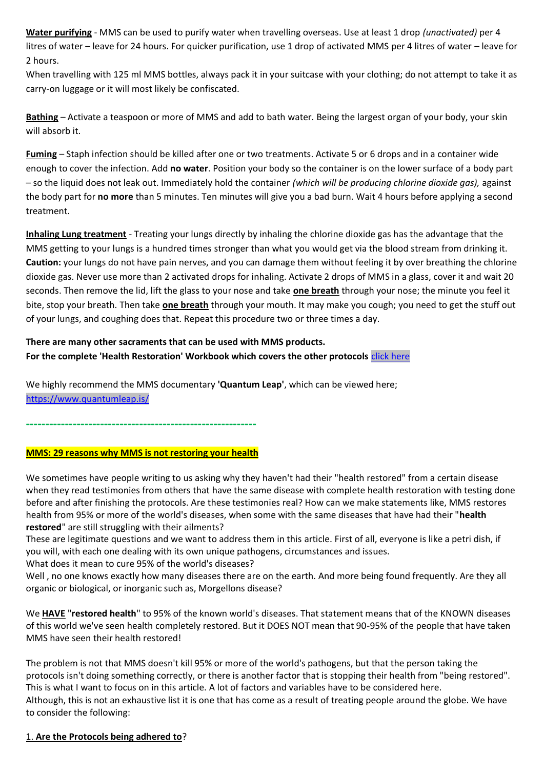<span id="page-10-0"></span>**Water purifying** - MMS can be used to purify water when travelling overseas. Use at least 1 drop *(unactivated)* per 4 litres of water – leave for 24 hours. For quicker purification, use 1 drop of activated MMS per 4 litres of water – leave for 2 hours.

When travelling with 125 ml MMS bottles, always pack it in your suitcase with your clothing; do not attempt to take it as carry-on luggage or it will most likely be confiscated.

**Bathing** – Activate a teaspoon or more of MMS and add to bath water. Being the largest organ of your body, your skin will absorb it.

**Fuming** – Staph infection should be killed after one or two treatments. Activate 5 or 6 drops and in a container wide enough to cover the infection. Add **no water**. Position your body so the container is on the lower surface of a body part – so the liquid does not leak out. Immediately hold the container *(which will be producing chlorine dioxide gas),* against the body part for **no more** than 5 minutes. Ten minutes will give you a bad burn. Wait 4 hours before applying a second treatment.

**Inhaling Lung treatment** - Treating your lungs directly by inhaling the chlorine dioxide gas has the advantage that the MMS getting to your lungs is a hundred times stronger than what you would get via the blood stream from drinking it. **Caution:** your lungs do not have pain nerves, and you can damage them without feeling it by over breathing the chlorine dioxide gas. Never use more than 2 activated drops for inhaling. Activate 2 drops of MMS in a glass, cover it and wait 20 seconds. Then remove the lid, lift the glass to your nose and take **one breath** through your nose; the minute you feel it bite, stop your breath. Then take **one breath** through your mouth. It may make you cough; you need to get the stuff out of your lungs, and coughing does that. Repeat this procedure two or three times a day.

## **There are many other sacraments that can be used with MMS products. For the complete 'Health Restoration' Workbook which covers the other protocols** [click here](https://miraclemineral.co.nz/index.cfm?fact=health)

We highly recommend the MMS documentary **'Quantum Leap'**, which can be viewed here; <https://www.quantumleap.is/>

**-----------------------------------------------------------**

## **MMS: 29 reasons why MMS is not restoring your health**

We sometimes have people writing to us asking why they haven't had their "health restored" from a certain disease when they read testimonies from others that have the same disease with complete health restoration with testing done before and after finishing the protocols. Are these testimonies real? How can we make statements like, MMS restores health from 95% or more of the world's diseases, when some with the same diseases that have had their "**health restored**" are still struggling with their ailments?

These are legitimate questions and we want to address them in this article. First of all, everyone is like a petri dish, if you will, with each one dealing with its own unique pathogens, circumstances and issues.

What does it mean to cure 95% of the world's diseases?

Well , no one knows exactly how many diseases there are on the earth. And more being found frequently. Are they all organic or biological, or inorganic such as, Morgellons disease?

We **HAVE** "**restored health**" to 95% of the known world's diseases. That statement means that of the KNOWN diseases of this world we've seen health completely restored. But it DOES NOT mean that 90-95% of the people that have taken MMS have seen their health restored!

The problem is not that MMS doesn't kill 95% or more of the world's pathogens, but that the person taking the protocols isn't doing something correctly, or there is another factor that is stopping their health from "being restored". This is what I want to focus on in this article. A lot of factors and variables have to be considered here. Although, this is not an exhaustive list it is one that has come as a result of treating people around the globe. We have to consider the following:

## 1. **Are the Protocols being adhered to**?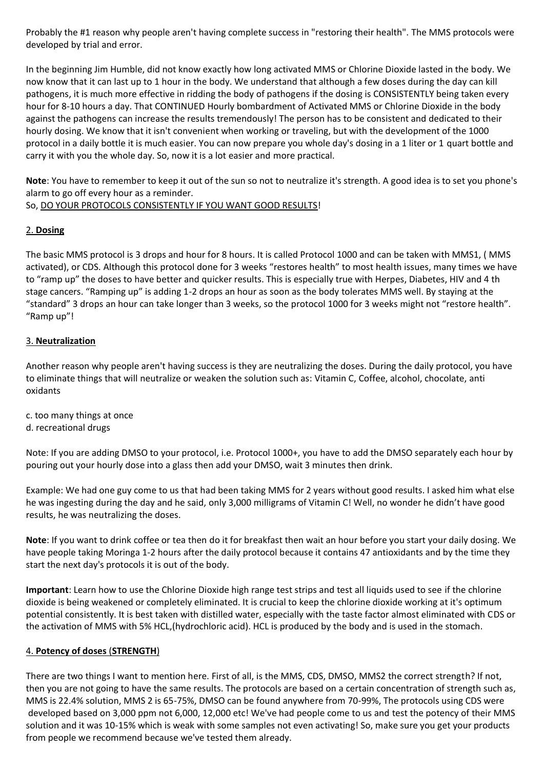Probably the #1 reason why people aren't having complete success in "restoring their health". The MMS protocols were developed by trial and error.

In the beginning Jim Humble, did not know exactly how long activated MMS or Chlorine Dioxide lasted in the body. We now know that it can last up to 1 hour in the body. We understand that although a few doses during the day can kill pathogens, it is much more effective in ridding the body of pathogens if the dosing is CONSISTENTLY being taken every hour for 8-10 hours a day. That CONTINUED Hourly bombardment of Activated MMS or Chlorine Dioxide in the body against the pathogens can increase the results tremendously! The person has to be consistent and dedicated to their hourly dosing. We know that it isn't convenient when working or traveling, but with the development of the 1000 protocol in a daily bottle it is much easier. You can now prepare you whole day's dosing in a 1 liter or 1 quart bottle and carry it with you the whole day. So, now it is a lot easier and more practical.

**Note**: You have to remember to keep it out of the sun so not to neutralize it's strength. A good idea is to set you phone's alarm to go off every hour as a reminder. So, DO YOUR PROTOCOLS CONSISTENTLY IF YOU WANT GOOD RESULTS!

## 2. **Dosing**

The basic MMS protocol is 3 drops and hour for 8 hours. It is called Protocol 1000 and can be taken with MMS1, ( MMS activated), or CDS. Although this protocol done for 3 weeks "restores health" to most health issues, many times we have to "ramp up" the doses to have better and quicker results. This is especially true with Herpes, Diabetes, HIV and 4 th stage cancers. "Ramping up" is adding 1-2 drops an hour as soon as the body tolerates MMS well. By staying at the "standard" 3 drops an hour can take longer than 3 weeks, so the protocol 1000 for 3 weeks might not "restore health". "Ramp up"!

## 3. **Neutralization**

Another reason why people aren't having success is they are neutralizing the doses. During the daily protocol, you have to eliminate things that will neutralize or weaken the solution such as: Vitamin C, Coffee, alcohol, chocolate, anti oxidants

c. too many things at once

## d. recreational drugs

Note: If you are adding DMSO to your protocol, i.e. Protocol 1000+, you have to add the DMSO separately each hour by pouring out your hourly dose into a glass then add your DMSO, wait 3 minutes then drink.

Example: We had one guy come to us that had been taking MMS for 2 years without good results. I asked him what else he was ingesting during the day and he said, only 3,000 milligrams of Vitamin C! Well, no wonder he didn't have good results, he was neutralizing the doses.

**Note**: If you want to drink coffee or tea then do it for breakfast then wait an hour before you start your daily dosing. We have people taking Moringa 1-2 hours after the daily protocol because it contains 47 antioxidants and by the time they start the next day's protocols it is out of the body.

**Important**: Learn how to use the Chlorine Dioxide high range test strips and test all liquids used to see if the chlorine dioxide is being weakened or completely eliminated. It is crucial to keep the chlorine dioxide working at it's optimum potential consistently. It is best taken with distilled water, especially with the taste factor almost eliminated with CDS or the activation of MMS with 5% HCL,(hydrochloric acid). HCL is produced by the body and is used in the stomach.

#### 4. **Potency of doses** (**STRENGTH**)

There are two things I want to mention here. First of all, is the MMS, CDS, DMSO, MMS2 the correct strength? If not, then you are not going to have the same results. The protocols are based on a certain concentration of strength such as, MMS is 22.4% solution, MMS 2 is 65-75%, DMSO can be found anywhere from 70-99%, The protocols using CDS were developed based on 3,000 ppm not 6,000, 12,000 etc! We've had people come to us and test the potency of their MMS solution and it was 10-15% which is weak with some samples not even activating! So, make sure you get your products from people we recommend because we've tested them already.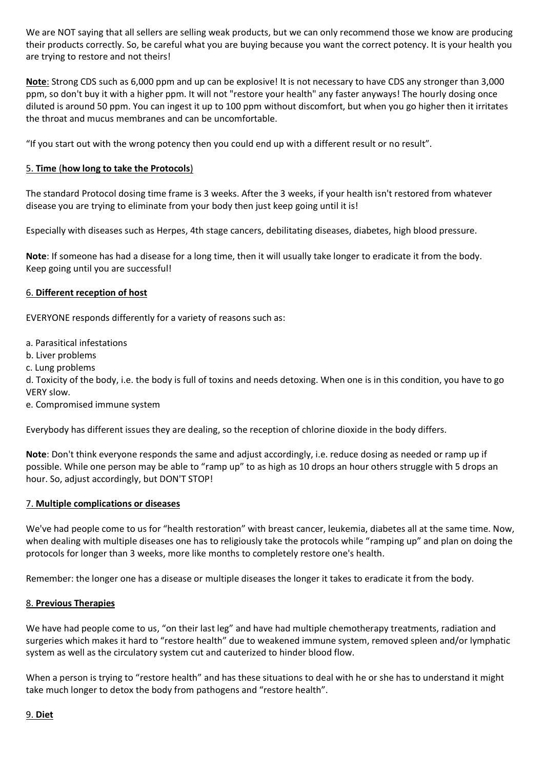We are NOT saying that all sellers are selling weak products, but we can only recommend those we know are producing their products correctly. So, be careful what you are buying because you want the correct potency. It is your health you are trying to restore and not theirs!

**Note**: Strong CDS such as 6,000 ppm and up can be explosive! It is not necessary to have CDS any stronger than 3,000 ppm, so don't buy it with a higher ppm. It will not "restore your health" any faster anyways! The hourly dosing once diluted is around 50 ppm. You can ingest it up to 100 ppm without discomfort, but when you go higher then it irritates the throat and mucus membranes and can be uncomfortable.

"If you start out with the wrong potency then you could end up with a different result or no result".

#### 5. **Time** (**how long to take the Protocols**)

The standard Protocol dosing time frame is 3 weeks. After the 3 weeks, if your health isn't restored from whatever disease you are trying to eliminate from your body then just keep going until it is!

Especially with diseases such as Herpes, 4th stage cancers, debilitating diseases, diabetes, high blood pressure.

**Note**: If someone has had a disease for a long time, then it will usually take longer to eradicate it from the body. Keep going until you are successful!

#### 6. **Different reception of host**

EVERYONE responds differently for a variety of reasons such as:

- a. Parasitical infestations
- b. Liver problems
- c. Lung problems

d. Toxicity of the body, i.e. the body is full of toxins and needs detoxing. When one is in this condition, you have to go VERY slow.

e. Compromised immune system

Everybody has different issues they are dealing, so the reception of chlorine dioxide in the body differs.

**Note**: Don't think everyone responds the same and adjust accordingly, i.e. reduce dosing as needed or ramp up if possible. While one person may be able to "ramp up" to as high as 10 drops an hour others struggle with 5 drops an hour. So, adjust accordingly, but DON'T STOP!

#### 7. **Multiple complications or diseases**

We've had people come to us for "health restoration" with breast cancer, leukemia, diabetes all at the same time. Now, when dealing with multiple diseases one has to religiously take the protocols while "ramping up" and plan on doing the protocols for longer than 3 weeks, more like months to completely restore one's health.

Remember: the longer one has a disease or multiple diseases the longer it takes to eradicate it from the body.

#### 8. **Previous Therapies**

We have had people come to us, "on their last leg" and have had multiple chemotherapy treatments, radiation and surgeries which makes it hard to "restore health" due to weakened immune system, removed spleen and/or lymphatic system as well as the circulatory system cut and cauterized to hinder blood flow.

When a person is trying to "restore health" and has these situations to deal with he or she has to understand it might take much longer to detox the body from pathogens and "restore health".

#### 9. **Diet**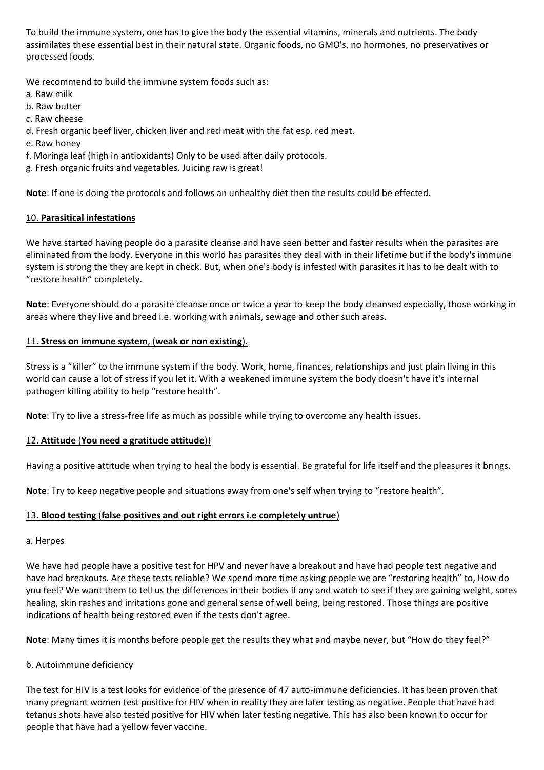To build the immune system, one has to give the body the essential vitamins, minerals and nutrients. The body assimilates these essential best in their natural state. Organic foods, no GMO's, no hormones, no preservatives or processed foods.

We recommend to build the immune system foods such as:

- a. Raw milk
- b. Raw butter
- c. Raw cheese
- d. Fresh organic beef liver, chicken liver and red meat with the fat esp. red meat.
- e. Raw honey
- f. Moringa leaf (high in antioxidants) Only to be used after daily protocols.
- g. Fresh organic fruits and vegetables. Juicing raw is great!

**Note**: If one is doing the protocols and follows an unhealthy diet then the results could be effected.

## 10. **Parasitical infestations**

We have started having people do a parasite cleanse and have seen better and faster results when the parasites are eliminated from the body. Everyone in this world has parasites they deal with in their lifetime but if the body's immune system is strong the they are kept in check. But, when one's body is infested with parasites it has to be dealt with to "restore health" completely.

**Note**: Everyone should do a parasite cleanse once or twice a year to keep the body cleansed especially, those working in areas where they live and breed i.e. working with animals, sewage and other such areas.

## 11. **Stress on immune system**, (**weak or non existing**).

Stress is a "killer" to the immune system if the body. Work, home, finances, relationships and just plain living in this world can cause a lot of stress if you let it. With a weakened immune system the body doesn't have it's internal pathogen killing ability to help "restore health".

**Note**: Try to live a stress-free life as much as possible while trying to overcome any health issues.

## 12. **Attitude** (**You need a gratitude attitude**)!

Having a positive attitude when trying to heal the body is essential. Be grateful for life itself and the pleasures it brings.

**Note**: Try to keep negative people and situations away from one's self when trying to "restore health".

## 13. **Blood testing** (**false positives and out right errors i.e completely untrue**)

## a. Herpes

We have had people have a positive test for HPV and never have a breakout and have had people test negative and have had breakouts. Are these tests reliable? We spend more time asking people we are "restoring health" to, How do you feel? We want them to tell us the differences in their bodies if any and watch to see if they are gaining weight, sores healing, skin rashes and irritations gone and general sense of well being, being restored. Those things are positive indications of health being restored even if the tests don't agree.

**Note**: Many times it is months before people get the results they what and maybe never, but "How do they feel?"

b. Autoimmune deficiency

The test for HIV is a test looks for evidence of the presence of 47 auto-immune deficiencies. It has been proven that many pregnant women test positive for HIV when in reality they are later testing as negative. People that have had tetanus shots have also tested positive for HIV when later testing negative. This has also been known to occur for people that have had a yellow fever vaccine.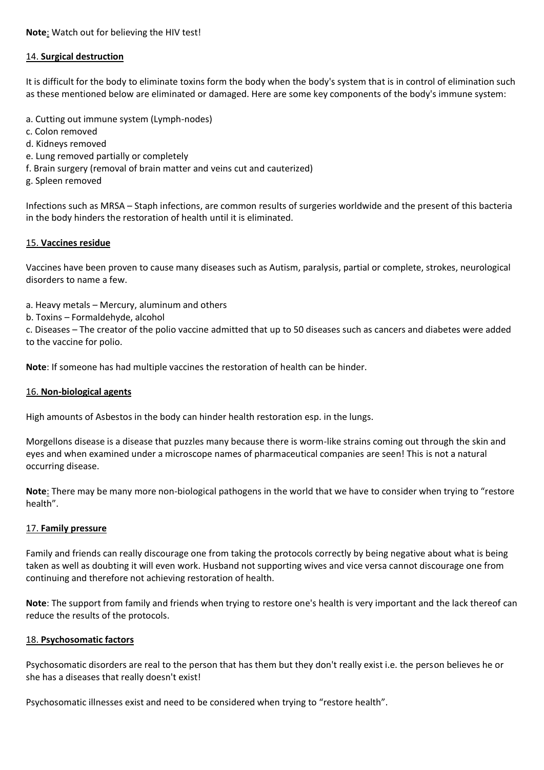#### 14. **Surgical destruction**

It is difficult for the body to eliminate toxins form the body when the body's system that is in control of elimination such as these mentioned below are eliminated or damaged. Here are some key components of the body's immune system:

- a. Cutting out immune system (Lymph-nodes)
- c. Colon removed
- d. Kidneys removed
- e. Lung removed partially or completely
- f. Brain surgery (removal of brain matter and veins cut and cauterized)
- g. Spleen removed

Infections such as MRSA – Staph infections, are common results of surgeries worldwide and the present of this bacteria in the body hinders the restoration of health until it is eliminated.

#### 15. **Vaccines residue**

Vaccines have been proven to cause many diseases such as Autism, paralysis, partial or complete, strokes, neurological disorders to name a few.

a. Heavy metals – Mercury, aluminum and others

b. Toxins – Formaldehyde, alcohol

c. Diseases – The creator of the polio vaccine admitted that up to 50 diseases such as cancers and diabetes were added to the vaccine for polio.

**Note**: If someone has had multiple vaccines the restoration of health can be hinder.

#### 16. **Non-biological agents**

High amounts of Asbestos in the body can hinder health restoration esp. in the lungs.

Morgellons disease is a disease that puzzles many because there is worm-like strains coming out through the skin and eyes and when examined under a microscope names of pharmaceutical companies are seen! This is not a natural occurring disease.

**Note**: There may be many more non-biological pathogens in the world that we have to consider when trying to "restore health".

#### 17. **Family pressure**

Family and friends can really discourage one from taking the protocols correctly by being negative about what is being taken as well as doubting it will even work. Husband not supporting wives and vice versa cannot discourage one from continuing and therefore not achieving restoration of health.

**Note**: The support from family and friends when trying to restore one's health is very important and the lack thereof can reduce the results of the protocols.

#### 18. **Psychosomatic factors**

Psychosomatic disorders are real to the person that has them but they don't really exist i.e. the person believes he or she has a diseases that really doesn't exist!

Psychosomatic illnesses exist and need to be considered when trying to "restore health".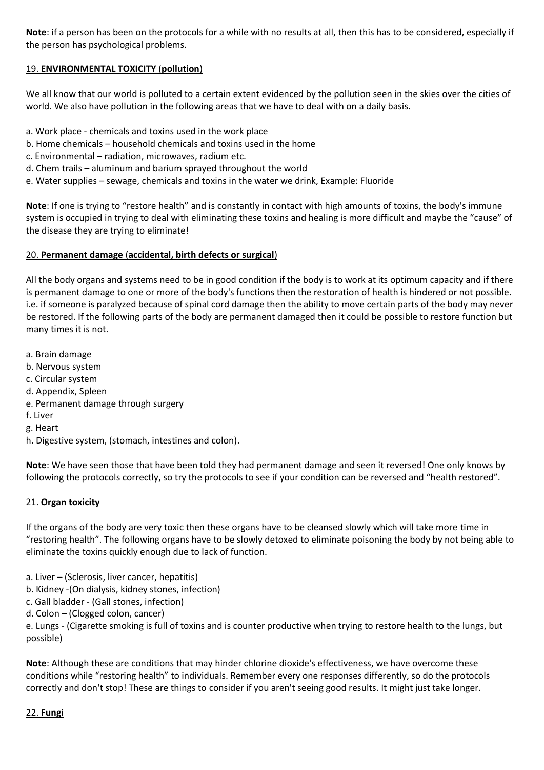**Note**: if a person has been on the protocols for a while with no results at all, then this has to be considered, especially if the person has psychological problems.

## 19. **ENVIRONMENTAL TOXICITY** (**pollution**)

We all know that our world is polluted to a certain extent evidenced by the pollution seen in the skies over the cities of world. We also have pollution in the following areas that we have to deal with on a daily basis.

- a. Work place chemicals and toxins used in the work place
- b. Home chemicals household chemicals and toxins used in the home
- c. Environmental radiation, microwaves, radium etc.
- d. Chem trails aluminum and barium sprayed throughout the world
- e. Water supplies sewage, chemicals and toxins in the water we drink, Example: Fluoride

**Note**: If one is trying to "restore health" and is constantly in contact with high amounts of toxins, the body's immune system is occupied in trying to deal with eliminating these toxins and healing is more difficult and maybe the "cause" of the disease they are trying to eliminate!

## 20. **Permanent damage** (**accidental, birth defects or surgical**)

All the body organs and systems need to be in good condition if the body is to work at its optimum capacity and if there is permanent damage to one or more of the body's functions then the restoration of health is hindered or not possible. i.e. if someone is paralyzed because of spinal cord damage then the ability to move certain parts of the body may never be restored. If the following parts of the body are permanent damaged then it could be possible to restore function but many times it is not.

- a. Brain damage
- b. Nervous system
- c. Circular system
- d. Appendix, Spleen
- e. Permanent damage through surgery
- f. Liver
- g. Heart
- h. Digestive system, (stomach, intestines and colon).

**Note**: We have seen those that have been told they had permanent damage and seen it reversed! One only knows by following the protocols correctly, so try the protocols to see if your condition can be reversed and "health restored".

## 21. **Organ toxicity**

If the organs of the body are very toxic then these organs have to be cleansed slowly which will take more time in "restoring health". The following organs have to be slowly detoxed to eliminate poisoning the body by not being able to eliminate the toxins quickly enough due to lack of function.

- a. Liver (Sclerosis, liver cancer, hepatitis)
- b. Kidney -(On dialysis, kidney stones, infection)
- c. Gall bladder (Gall stones, infection)
- d. Colon (Clogged colon, cancer)

e. Lungs - (Cigarette smoking is full of toxins and is counter productive when trying to restore health to the lungs, but possible)

**Note**: Although these are conditions that may hinder chlorine dioxide's effectiveness, we have overcome these conditions while "restoring health" to individuals. Remember every one responses differently, so do the protocols correctly and don't stop! These are things to consider if you aren't seeing good results. It might just take longer.

## 22. **Fungi**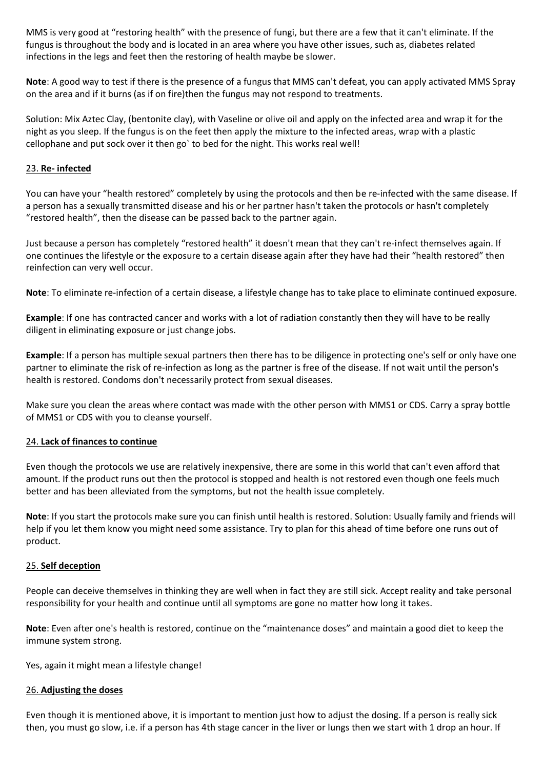MMS is very good at "restoring health" with the presence of fungi, but there are a few that it can't eliminate. If the fungus is throughout the body and is located in an area where you have other issues, such as, diabetes related infections in the legs and feet then the restoring of health maybe be slower.

**Note**: A good way to test if there is the presence of a fungus that MMS can't defeat, you can apply activated MMS Spray on the area and if it burns (as if on fire)then the fungus may not respond to treatments.

Solution: Mix Aztec Clay, (bentonite clay), with Vaseline or olive oil and apply on the infected area and wrap it for the night as you sleep. If the fungus is on the feet then apply the mixture to the infected areas, wrap with a plastic cellophane and put sock over it then go` to bed for the night. This works real well!

#### 23. **Re- infected**

You can have your "health restored" completely by using the protocols and then be re-infected with the same disease. If a person has a sexually transmitted disease and his or her partner hasn't taken the protocols or hasn't completely "restored health", then the disease can be passed back to the partner again.

Just because a person has completely "restored health" it doesn't mean that they can't re-infect themselves again. If one continues the lifestyle or the exposure to a certain disease again after they have had their "health restored" then reinfection can very well occur.

**Note**: To eliminate re-infection of a certain disease, a lifestyle change has to take place to eliminate continued exposure.

**Example**: If one has contracted cancer and works with a lot of radiation constantly then they will have to be really diligent in eliminating exposure or just change jobs.

**Example**: If a person has multiple sexual partners then there has to be diligence in protecting one's self or only have one partner to eliminate the risk of re-infection as long as the partner is free of the disease. If not wait until the person's health is restored. Condoms don't necessarily protect from sexual diseases.

Make sure you clean the areas where contact was made with the other person with MMS1 or CDS. Carry a spray bottle of MMS1 or CDS with you to cleanse yourself.

#### 24. **Lack of finances to continue**

Even though the protocols we use are relatively inexpensive, there are some in this world that can't even afford that amount. If the product runs out then the protocol is stopped and health is not restored even though one feels much better and has been alleviated from the symptoms, but not the health issue completely.

**Note**: If you start the protocols make sure you can finish until health is restored. Solution: Usually family and friends will help if you let them know you might need some assistance. Try to plan for this ahead of time before one runs out of product.

#### 25. **Self deception**

People can deceive themselves in thinking they are well when in fact they are still sick. Accept reality and take personal responsibility for your health and continue until all symptoms are gone no matter how long it takes.

**Note**: Even after one's health is restored, continue on the "maintenance doses" and maintain a good diet to keep the immune system strong.

Yes, again it might mean a lifestyle change!

#### 26. **Adjusting the doses**

Even though it is mentioned above, it is important to mention just how to adjust the dosing. If a person is really sick then, you must go slow, i.e. if a person has 4th stage cancer in the liver or lungs then we start with 1 drop an hour. If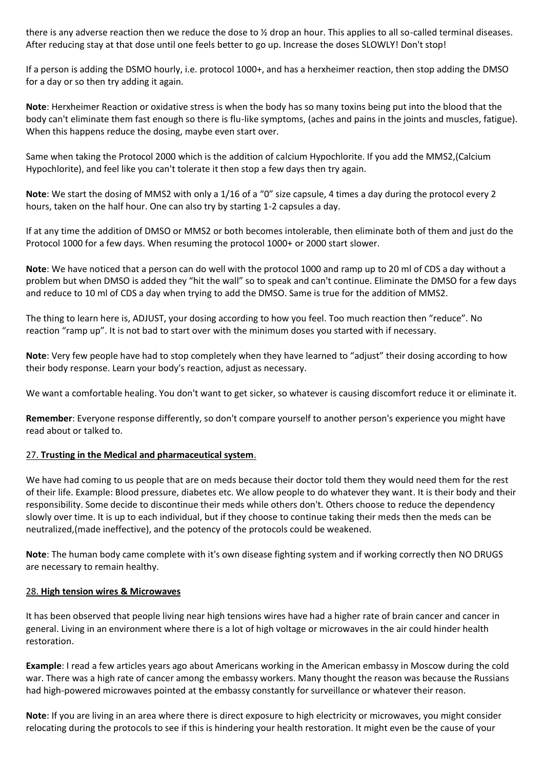there is any adverse reaction then we reduce the dose to ½ drop an hour. This applies to all so-called terminal diseases. After reducing stay at that dose until one feels better to go up. Increase the doses SLOWLY! Don't stop!

If a person is adding the DSMO hourly, i.e. protocol 1000+, and has a herxheimer reaction, then stop adding the DMSO for a day or so then try adding it again.

**Note**: Herxheimer Reaction or oxidative stress is when the body has so many toxins being put into the blood that the body can't eliminate them fast enough so there is flu-like symptoms, (aches and pains in the joints and muscles, fatigue). When this happens reduce the dosing, maybe even start over.

Same when taking the Protocol 2000 which is the addition of calcium Hypochlorite. If you add the MMS2,(Calcium Hypochlorite), and feel like you can't tolerate it then stop a few days then try again.

**Note**: We start the dosing of MMS2 with only a 1/16 of a "0" size capsule, 4 times a day during the protocol every 2 hours, taken on the half hour. One can also try by starting 1-2 capsules a day.

If at any time the addition of DMSO or MMS2 or both becomes intolerable, then eliminate both of them and just do the Protocol 1000 for a few days. When resuming the protocol 1000+ or 2000 start slower.

**Note**: We have noticed that a person can do well with the protocol 1000 and ramp up to 20 ml of CDS a day without a problem but when DMSO is added they "hit the wall" so to speak and can't continue. Eliminate the DMSO for a few days and reduce to 10 ml of CDS a day when trying to add the DMSO. Same is true for the addition of MMS2.

The thing to learn here is, ADJUST, your dosing according to how you feel. Too much reaction then "reduce". No reaction "ramp up". It is not bad to start over with the minimum doses you started with if necessary.

**Note**: Very few people have had to stop completely when they have learned to "adjust" their dosing according to how their body response. Learn your body's reaction, adjust as necessary.

We want a comfortable healing. You don't want to get sicker, so whatever is causing discomfort reduce it or eliminate it.

**Remember**: Everyone response differently, so don't compare yourself to another person's experience you might have read about or talked to.

## 27. **Trusting in the Medical and pharmaceutical system**.

We have had coming to us people that are on meds because their doctor told them they would need them for the rest of their life. Example: Blood pressure, diabetes etc. We allow people to do whatever they want. It is their body and their responsibility. Some decide to discontinue their meds while others don't. Others choose to reduce the dependency slowly over time. It is up to each individual, but if they choose to continue taking their meds then the meds can be neutralized,(made ineffective), and the potency of the protocols could be weakened.

**Note**: The human body came complete with it's own disease fighting system and if working correctly then NO DRUGS are necessary to remain healthy.

#### 28. **High tension wires & Microwaves**

It has been observed that people living near high tensions wires have had a higher rate of brain cancer and cancer in general. Living in an environment where there is a lot of high voltage or microwaves in the air could hinder health restoration.

**Example**: I read a few articles years ago about Americans working in the American embassy in Moscow during the cold war. There was a high rate of cancer among the embassy workers. Many thought the reason was because the Russians had high-powered microwaves pointed at the embassy constantly for surveillance or whatever their reason.

**Note**: If you are living in an area where there is direct exposure to high electricity or microwaves, you might consider relocating during the protocols to see if this is hindering your health restoration. It might even be the cause of your